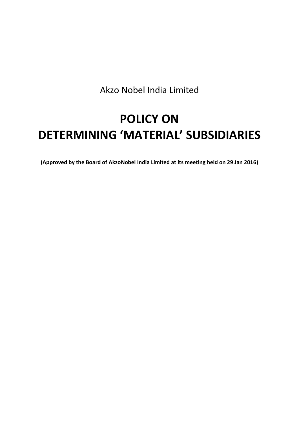Akzo Nobel India Limited

# **POLICY ON DETERMINING 'MATERIAL' SUBSIDIARIES**

**(Approved by the Board of AkzoNobel India Limited at its meeting held on 29 Jan 2016)**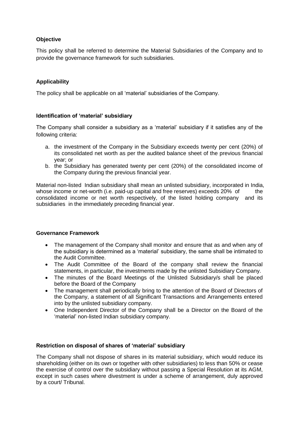# **Objective**

This policy shall be referred to determine the Material Subsidiaries of the Company and to provide the governance framework for such subsidiaries.

# **Applicability**

The policy shall be applicable on all 'material' subsidiaries of the Company.

## **Identification of 'material' subsidiary**

The Company shall consider a subsidiary as a 'material' subsidiary if it satisfies any of the following criteria:

- a. the investment of the Company in the Subsidiary exceeds twenty per cent (20%) of its consolidated net worth as per the audited balance sheet of the previous financial year; or
- b. the Subsidiary has generated twenty per cent (20%) of the consolidated income of the Company during the previous financial year.

Material non-listed Indian subsidiary shall mean an unlisted subsidiary, incorporated in India, whose income or net-worth (i.e. paid-up capital and free reserves) exceeds  $20\%$  of the consolidated income or net worth respectively, of the listed holding company and its subsidiaries in the immediately preceding financial year.

## **Governance Framework**

- The management of the Company shall monitor and ensure that as and when any of the subsidiary is determined as a 'material' subsidiary, the same shall be intimated to the Audit Committee.
- The Audit Committee of the Board of the company shall review the financial statements, in particular, the investments made by the unlisted Subsidiary Company.
- The minutes of the Board Meetings of the Unlisted Subsidiary/s shall be placed before the Board of the Company
- The management shall periodically bring to the attention of the Board of Directors of the Company, a statement of all Significant Transactions and Arrangements entered into by the unlisted subsidiary company.
- One Independent Director of the Company shall be a Director on the Board of the 'material' non-listed Indian subsidiary company.

## **Restriction on disposal of shares of 'material' subsidiary**

The Company shall not dispose of shares in its material subsidiary, which would reduce its shareholding (either on its own or together with other subsidiaries) to less than 50% or cease the exercise of control over the subsidiary without passing a Special Resolution at its AGM, except in such cases where divestment is under a scheme of arrangement, duly approved by a court/ Tribunal.